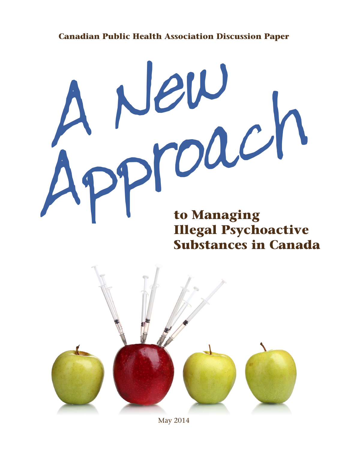# **Canadian Public Health Association Discussion Paper**

# **to Managing**  A New Approach

# **Illegal Psychoactive Substances in Canada**



May 2014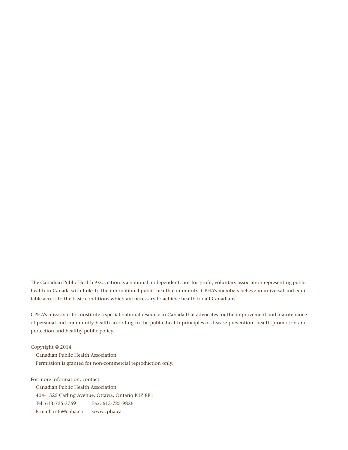The Canadian Public Health Association is a national, independent, not-for-profit, voluntary association representing public health in Canada with links to the international public health community. CPHA's members believe in universal and equitable access to the basic conditions which are necessary to achieve health for all Canadians.

CPHA's mission is to constitute a special national resource in Canada that advocates for the improvement and maintenance of personal and community health according to the public health principles of disease prevention, health promotion and protection and healthy public policy.

Copyright © 2014 Canadian Public Health Association Permission is granted for non-commercial reproduction only.

For more information, contact:

Canadian Public Health Association 404–1525 Carling Avenue, Ottawa, Ontario K1Z 8R1 Tel: 613-725-3769 Fax: 613-725-9826 E-mail: info@cpha.ca www.cpha.ca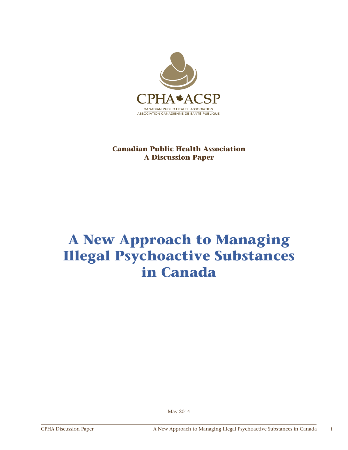

# **Canadian Public Health Association A Discussion Paper**

# **A New Approach to Managing Illegal Psychoactive Substances in Canada**

May 2014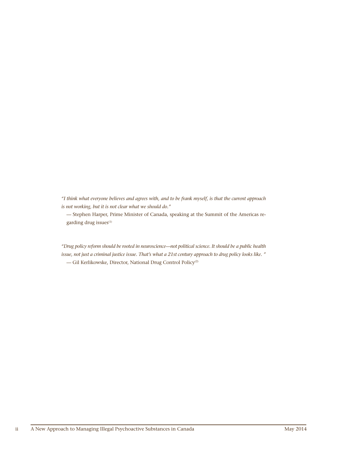*"I think what everyone believes and agrees with, and to be frank myself, is that the current approach is not working, but it is not clear what we should do."*

— Stephen Harper, Prime Minister of Canada, speaking at the Summit of the Americas regarding drug issues<sup>(1)</sup>

*"Drug policy reform should be rooted in neuroscience—not political science. It should be a public health issue, not just a criminal justice issue. That's what a 21st century approach to drug policy looks like. "* — Gil Kerlikowske, Director, National Drug Control Policy(2)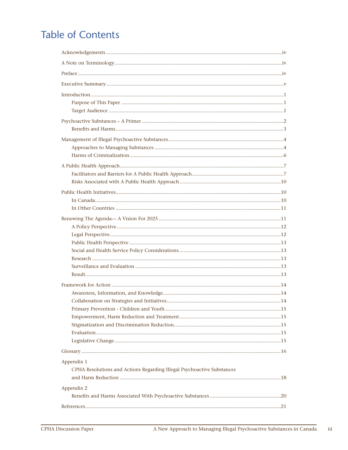# **Table of Contents**

| Appendix 1                                                             |  |
|------------------------------------------------------------------------|--|
| CPHA Resolutions and Actions Regarding Illegal Psychoactive Substances |  |
|                                                                        |  |
| Appendix 2                                                             |  |
|                                                                        |  |
|                                                                        |  |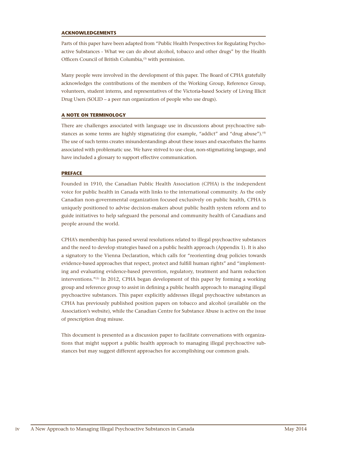### **ACKNOWLEDGEMENTS**

Parts of this paper have been adapted from "Public Health Perspectives for Regulating Psychoactive Substances - What we can do about alcohol, tobacco and other drugs" by the Health Officers Council of British Columbia,<sup>(3)</sup> with permission.

Many people were involved in the development of this paper. The Board of CPHA gratefully acknowledges the contributions of the members of the Working Group, Reference Group, volunteers, student interns, and representatives of the Victoria-based Society of Living Illicit Drug Users (SOLID – a peer run organization of people who use drugs).

### **A NOTE ON TERMINOLOGY**

There are challenges associated with language use in discussions about psychoactive substances as some terms are highly stigmatizing (for example, "addict" and "drug abuse").<sup>(4)</sup> The use of such terms creates misunderstandings about these issues and exacerbates the harms associated with problematic use. We have strived to use clear, non-stigmatizing language, and have included a glossary to support effective communication.

### **PREFACE**

Founded in 1910, the Canadian Public Health Association (CPHA) is the independent voice for public health in Canada with links to the international community. As the only Canadian non-governmental organization focused exclusively on public health, CPHA is uniquely positioned to advise decision-makers about public health system reform and to guide initiatives to help safeguard the personal and community health of Canadians and people around the world.

CPHA's membership has passed several resolutions related to illegal psychoactive substances and the need to develop strategies based on a public health approach (Appendix 1). It is also a signatory to the Vienna Declaration, which calls for "reorienting drug policies towards evidence-based approaches that respect, protect and fulfill human rights" and "implementing and evaluating evidence-based prevention, regulatory, treatment and harm reduction interventions."(5) In 2012, CPHA began development of this paper by forming a working group and reference group to assist in defining a public health approach to managing illegal psychoactive substances. This paper explicitly addresses illegal psychoactive substances as CPHA has previously published position papers on tobacco and alcohol (available on the Association's website), while the Canadian Centre for Substance Abuse is active on the issue of prescription drug misuse.

This document is presented as a discussion paper to facilitate conversations with organizations that might support a public health approach to managing illegal psychoactive substances but may suggest different approaches for accomplishing our common goals.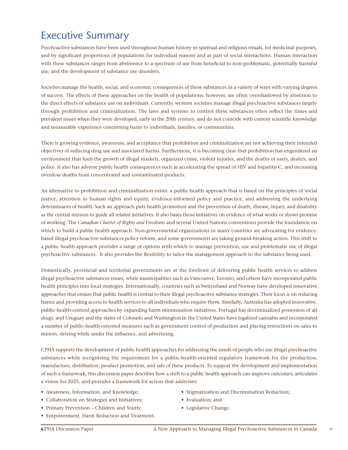# Executive Summary

Psychoactive substances have been used throughout human history in spiritual and religious rituals, for medicinal purposes, and by significant proportions of populations for individual reasons and as part of social interactions. Human interaction with these substances ranges from abstinence to a spectrum of use from beneficial to non-problematic, potentially harmful use, and the development of substance use disorders.

Societies manage the health, social, and economic consequences of these substances in a variety of ways with varying degrees of success. The effects of these approaches on the health of populations, however, are often overshadowed by attention to the direct effects of substance use on individuals. Currently, western societies manage illegal psychoactive substances largely through prohibition and criminalization. The laws and systems to control these substances often reflect the times and prevalent issues when they were developed, early in the 20th century, and do not coincide with current scientific knowledge and measurable experience concerning harm to individuals, families, or communities.

There is growing evidence, awareness, and acceptance that prohibition and criminalization are not achieving their intended objectives of reducing drug use and associated harms. Furthermore, it is becoming clear that prohibition has engendered an environment that fuels the growth of illegal markets, organized crime, violent injuries, and the deaths of users, dealers, and police. It also has adverse public health consequences such as accelerating the spread of HIV and hepatitis C, and increasing overdose deaths from concentrated and contaminated products.

An alternative to prohibition and criminalization exists: a public health approach that is based on the principles of social justice, attention to human rights and equity, evidence-informed policy and practice, and addressing the underlying determinants of health. Such an approach puts health promotion and the prevention of death, disease, injury, and disability as the central mission to guide all related initiatives. It also bases those initiatives on evidence of what works or shows promise of working. The *Canadian Charter of Rights and Freedoms* and several United Nations conventions provide the foundation on which to build a public health approach. Non-governmental organizations in many countries are advocating for evidencebased illegal psychoactive substances policy reform, and some governments are taking ground-breaking action. This shift to a public health approach provides a range of options with which to manage prevention, use and problematic use of illegal psychoactive substances. It also provides the flexibility to tailor the management approach to the substance being used.

Domestically, provincial and territorial governments are at the forefront of delivering public health services to address illegal psychoactive substances issues, while municipalities such as Vancouver, Toronto, and others have incorporated public health principles into local strategies. Internationally, countries such as Switzerland and Norway have developed innovative approaches that ensure that public health is central to their illegal psychoactive substance strategies. Their focus is on reducing harms and providing access to health services to all individuals who require them. Similarly, Australia has adopted innovative, public-health-centred approaches by expanding harm minimization initiatives. Portugal has decriminalized possession of all drugs, and Uruguay and the states of Colorado and Washington in the United States have legalized cannabis and incorporated a number of public-health-oriented measures such as government control of production and placing restrictions on sales to minors, driving while under the influence, and advertising.

CPHA supports the development of public health approaches for addressing the needs of people who use illegal psychoactive substances while recognizing the requirement for a public-health-oriented regulatory framework for the production, manufacture, distribution, product promotion, and sale of these products. To support the development and implementation of such a framework, this discussion paper describes how a shift to a public health approach can improve outcomes, articulates a vision for 2025, and provides a framework for action that addresses:

- Awareness, Information, and Knowledge;
- Collaboration on Strategies and Initiatives;
- Primary Prevention Children and Youth;
- Empowerment, Harm Reduction and Treatment;
- Stigmatization and Discrimination Reduction;
- Evaluation; and
- Legislative Change.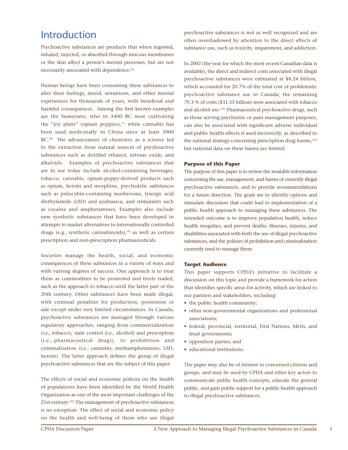# Introduction

Psychoactive substances are products that when ingested, inhaled, injected, or absorbed through mucous membranes or the skin affect a person's mental processes, but are not necessarily associated with dependence.<sup>(6)</sup>

Human beings have been consuming these substances to alter their feelings, mood, sensations, and other mental experiences for thousands of years, with beneficial and harmful consequences. Among the first known examples are the Sumerians, who in 3400 BC were cultivating the "joy plant" (opium poppies), $(7)$  while cannabis has been used medicinally in China since at least 3000 BC.<sup>(8)</sup> The advancement of chemistry as a science led to the extraction from natural sources of psychoactive substances such as distilled ethanol, nitrous oxide, and alkaloids. Examples of psychoactive substances that are in use today include alcohol-containing beverages, tobacco, cannabis, opium-poppy-derived products such as opium, heroin and morphine, psychedelic substances such as psilocybin-containing mushrooms, lysergic acid diethylamide (LSD) and ayahuasca, and stimulants such as cocaine and amphetamines. Examples also include new synthetic substances that have been developed in attempts to market alternatives to internationally controlled drugs (e.g., synthetic cannabinoids),<sup>(9)</sup> as well as certain prescription and non-prescription pharmaceuticals.

Societies manage the health, social, and economic consequences of these substances in a variety of ways and with varying degrees of success. One approach is to treat them as commodities to be promoted and freely traded, such as the approach to tobacco until the latter part of the 20th century. Other substances have been made illegal, with criminal penalties for production, possession or sale except under very limited circumstances. In Canada, psychoactive substances are managed through various regulatory approaches, ranging from commercialization (i.e., tobacco), state control (i.e., alcohol) and prescription (i.e., pharmaceutical drugs), to prohibition and criminalization (i.e., cannabis, methamphetamine, LSD, heroin). The latter approach defines the group of illegal psychoactive substances that are the subject of this paper.

The effects of social and economic policies on the health of populations have been identified by the World Health Organization as one of the most important challenges of the 21st century.(10) The management of psychoactive substances is no exception. The effect of social and economic policy on the health and well-being of those who use illegal

psychoactive substances is not as well recognized and are often overshadowed by attention to the direct effects of substance use, such as toxicity, impairment, and addiction.

In 2002 (the year for which the most recent Canadian data is available), the direct and indirect costs associated with illegal psychoactive substances were estimated at \$8.24 billion, which accounted for 20.7% of the total cost of problematic psychoactive substance use in Canada; the remaining 79.3 % of costs (\$31.55 billion) were associated with tobacco and alcohol use.<sup>(12)</sup> Pharmaceutical psychoactive drugs, such as those serving psychiatric or pain management purposes, can also be associated with significant adverse individual and public health effects if used incorrectly, as described in the national strategy concerning prescription drug harms, $(13)$ but national data on these harms are limited.

# **Purpose of this Paper**

The purpose of this paper is to review the available information concerning the use, management, and harms of currently illegal psychoactive substances, and to provide recommendations for a future direction. The goals are to identify options and stimulate discussion that could lead to implementation of a public health approach to managing these substances. The intended outcome is to improve population health, reduce health inequities, and prevent deaths, illnesses, injuries, and disabilities associated with both the use of illegal psychoactive substances, and the policies of prohibition and criminalization currently used to manage them.

# **Target Audience**

This paper supports CPHA's initiative to facilitate a discussion on this topic and provide a framework for action that identifies specific areas for activity, which are linked to our partners and stakeholders, including:

- the public health community;
- other non-governmental organizations and professional associations;
- federal, provincial, territorial, First Nations, Métis, and Inuit governments;
- opposition parties; and
- educational institutions.

The paper may also be of interest to concerned citizens and groups, and may be used by CPHA and other key actors to communicate public health concepts, educate the general public, and gain public support for a public health approach to illegal psychoactive substances.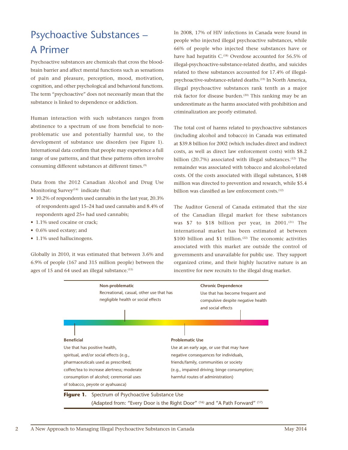# Psychoactive Substances – A Primer

Psychoactive substances are chemicals that cross the bloodbrain barrier and affect mental functions such as sensations of pain and pleasure, perception, mood, motivation, cognition, and other psychological and behavioral functions. The term "psychoactive" does not necessarily mean that the substance is linked to dependence or addiction.

Human interaction with such substances ranges from abstinence to a spectrum of use from beneficial to nonproblematic use and potentially harmful use, to the development of substance use disorders (see Figure 1). International data confirm that people may experience a full range of use patterns, and that these patterns often involve consuming different substances at different times.(9)

Data from the 2012 Canadian Alcohol and Drug Use Monitoring Survey<sup>(14)</sup> indicate that:

- 10.2% of respondents used cannabis in the last year, 20.3% of respondents aged 15–24 had used cannabis and 8.4% of respondents aged 25+ had used cannabis;
- 1.1% used cocaine or crack;
- 0.6% used ecstasy; and
- 1.1% used hallucinogens.

Globally in 2010, it was estimated that between 3.6% and 6.9% of people (167 and 315 million people) between the ages of 15 and 64 used an illegal substance.<sup>(15)</sup>

In 2008, 17% of HIV infections in Canada were found in people who injected illegal psychoactive substances, while 66% of people who injected these substances have or have had hepatitis C.<sup>(18)</sup> Overdose accounted for 56.5% of illegal-psychoactive-substance-related deaths, and suicides related to these substances accounted for 17.4% of illegalpsychoactive-substance-related deaths.<sup>(19)</sup> In North America, illegal psychoactive substances rank tenth as a major risk factor for disease burden.<sup>(20)</sup> This ranking may be an underestimate as the harms associated with prohibition and criminalization are poorly estimated.

The total cost of harms related to psychoactive substances (including alcohol and tobacco) in Canada was estimated at \$39.8 billion for 2002 (which includes direct and indirect costs, as well as direct law enforcement costs) with \$8.2 billion (20.7%) associated with illegal substances.<sup>(12)</sup> The remainder was associated with tobacco and alcohol-related costs. Of the costs associated with illegal substances, \$148 million was directed to prevention and research, while \$5.4 billion was classified as law enforcement costs.<sup>(12)</sup>

The Auditor General of Canada estimated that the size of the Canadian illegal market for these substances was  $$7$  to  $$18$  billion per year, in 2001.<sup>(21)</sup> The international market has been estimated at between \$100 billion and \$1 trillion.<sup> $(22)$ </sup> The economic activities associated with this market are outside the control of governments and unavailable for public use. They support organized crime, and their highly lucrative nature is an incentive for new recruits to the illegal drug market.

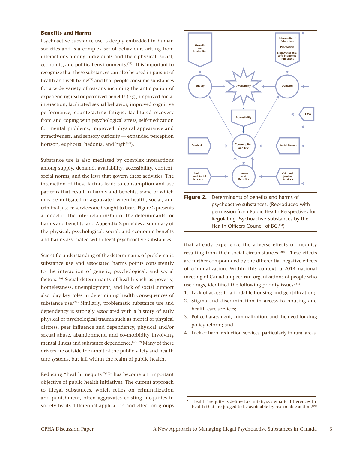### **Benefits and Harms**

Psychoactive substance use is deeply embedded in human societies and is a complex set of behaviours arising from interactions among individuals and their physical, social, economic, and political environments.<sup>(23)</sup> It is important to recognize that these substances can also be used in pursuit of health and well-being<sup>(24)</sup> and that people consume substances for a wide variety of reasons including the anticipation of experiencing real or perceived benefits (e.g., improved social interaction, facilitated sexual behavior, improved cognitive performance, counteracting fatigue, facilitated recovery from and coping with psychological stress, self-medication for mental problems, improved physical appearance and attractiveness, and sensory curiosity — expanded perception horizon, euphoria, hedonia, and high<sup>(25)</sup>).

Substance use is also mediated by complex interactions among supply, demand, availability, accessibility, context, social norms, and the laws that govern these activities. The interaction of these factors leads to consumption and use patterns that result in harms and benefits, some of which may be mitigated or aggravated when health, social, and criminal justice services are brought to bear. Figure 2 presents a model of the inter-relationship of the determinants for harms and benefits, and Appendix 2 provides a summary of the physical, psychological, social, and economic benefits and harms associated with illegal psychoactive substances.

Scientific understanding of the determinants of problematic substance use and associated harms points consistently to the interaction of genetic, psychological, and social factors.(26) Social determinants of health such as poverty, homelessness, unemployment, and lack of social support also play key roles in determining health consequences of substance use.<sup>(27)</sup> Similarly, problematic substance use and dependency is strongly associated with a history of early physical or psychological trauma such as mental or physical distress, peer influence and dependency, physical and/or sexual abuse, abandonment, and co-morbidity involving mental illness and substance dependence.<sup>(28, 29)</sup> Many of these drivers are outside the ambit of the public safety and health care systems, but fall within the realm of public health.

Reducing "health inequity"(10)\* has become an important objective of public health initiatives. The current approach to illegal substances, which relies on criminalization and punishment, often aggravates existing inequities in society by its differential application and effect on groups



permission from Public Health Perspectives for Regulating Psychoactive Substances by the Health Officers Council of BC.(3))

that already experience the adverse effects of inequity resulting from their social circumstances.<sup>(30)</sup> These effects are further compounded by the differential negative effects of criminalization. Within this context, a 2014 national meeting of Canadian peer-run organizations of people who use drugs, identified the following priority issues: (11)

- 1. Lack of access to affordable housing and gentrification;
- 2. Stigma and discrimination in access to housing and health care services;
- 3. Police harassment, criminalization, and the need for drug policy reform; and
- 4. Lack of harm reduction services, particularly in rural areas.

Health inequity is defined as unfair, systematic differences in health that are judged to be avoidable by reasonable action.<sup>(10)</sup>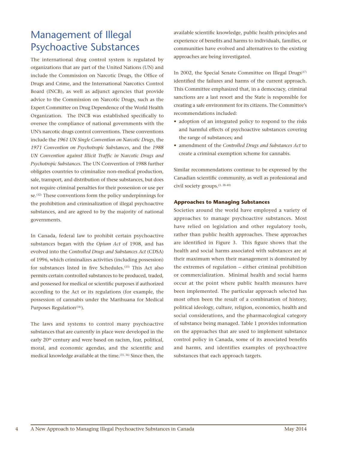# Management of Illegal Psychoactive Substances

The international drug control system is regulated by organizations that are part of the United Nations (UN) and include the Commission on Narcotic Drugs, the Office of Drugs and Crime, and the International Narcotics Control Board (INCB), as well as adjunct agencies that provide advice to the Commission on Narcotic Drugs, such as the Expert Committee on Drug Dependence of the World Health Organization. The INCB was established specifically to oversee the compliance of national governments with the UN's narcotic drugs control conventions. These conventions include the *1961 UN Single Convention on Narcotic Drugs*, the *1971 Convention on Psychotropic Substances*, and the *1988 UN Convention against Illicit Traffic in Narcotic Drugs and Psychotropic Substances*. The UN Convention of 1988 further obligates countries to criminalize non-medical production, sale, transport, and distribution of these substances, but does not require criminal penalties for their possession or use per se.(32) These conventions form the policy underpinnings for the prohibition and criminalization of illegal psychoactive substances, and are agreed to by the majority of national governments.

In Canada, federal law to prohibit certain psychoactive substances began with the *Opium Act* of 1908, and has evolved into the *Controlled Drugs and Substances Act* (CDSA) of 1996, which criminalizes activities (including possession) for substances listed in five Schedules.<sup>(33)</sup> This Act also permits certain controlled substances to be produced, traded, and possessed for medical or scientific purposes if authorized according to the Act or its regulations (for example, the possession of cannabis under the Marihuana for Medical Purposes Regulation $(34)$ ).

The laws and systems to control many psychoactive substances that are currently in place were developed in the early 20<sup>th</sup> century and were based on racism, fear, political, moral, and economic agendas, and the scientific and medical knowledge available at the time.(35, 36) Since then, the available scientific knowledge, public health principles and experience of benefits and harms to individuals, families, or communities have evolved and alternatives to the existing approaches are being investigated.

In 2002, the Special Senate Committee on Illegal Drugs $(37)$ identified the failures and harms of the current approach. This Committee emphasized that, in a democracy, criminal sanctions are a last resort and the State is responsible for creating a safe environment for its citizens. The Committee's recommendations included:

- adoption of an integrated policy to respond to the risks and harmful effects of psychoactive substances covering the range of substances; and
- amendment of the *Controlled Drugs and Substances Act* to create a criminal exemption scheme for cannabis.

Similar recommendations continue to be expressed by the Canadian scientific community, as well as professional and civil society groups.(3, 38-40)

# **Approaches to Managing Substances**

Societies around the world have employed a variety of approaches to manage psychoactive substances. Most have relied on legislation and other regulatory tools, rather than public health approaches. These approaches are identified in Figure 3. This figure shows that the health and social harms associated with substances are at their maximum when their management is dominated by the extremes of regulation – either criminal prohibition or commercialization. Minimal health and social harms occur at the point where public health measures have been implemented. The particular approach selected has most often been the result of a combination of history, political ideology, culture, religion, economics, health and social considerations, and the pharmacological category of substance being managed. Table 1 provides information on the approaches that are used to implement substance control policy in Canada, some of its associated benefits and harms, and identifies examples of psychoactive substances that each approach targets.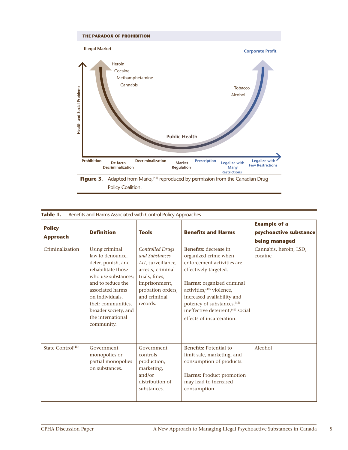

| <b>Policy</b><br><b>Approach</b> | <b>Definition</b>                                                                                                                                                                                                                                  | <b>Tools</b>                                                                                                                                                             | <b>Benefits and Harms</b>                                                                                                                                                                                                                                                                                                    | <b>Example of a</b><br>psychoactive substance<br>being managed |
|----------------------------------|----------------------------------------------------------------------------------------------------------------------------------------------------------------------------------------------------------------------------------------------------|--------------------------------------------------------------------------------------------------------------------------------------------------------------------------|------------------------------------------------------------------------------------------------------------------------------------------------------------------------------------------------------------------------------------------------------------------------------------------------------------------------------|----------------------------------------------------------------|
| Criminalization                  | Using criminal<br>law to denounce.<br>deter, punish, and<br>rehabilitate those<br>who use substances;<br>and to reduce the<br>associated harms<br>on individuals,<br>their communities,<br>broader society, and<br>the international<br>community. | <b>Controlled Drugs</b><br>and Substances<br>Act, surveillance,<br>arrests, criminal<br>trials, fines,<br>imprisonment,<br>probation orders,<br>and criminal<br>records. | <b>Benefits:</b> decrease in<br>organized crime when<br>enforcement activities are<br>effectively targeted.<br>Harms: organized criminal<br>activities. <sup>(42)</sup> violence,<br>increased availability and<br>potency of substances, (43)<br>ineffective deterrent, <sup>(44)</sup> social<br>effects of incarceration. | Cannabis, heroin, LSD,<br>cocaine                              |
| State Control <sup>(45)</sup>    | Government<br>monopolies or<br>partial monopolies<br>on substances.                                                                                                                                                                                | Government<br>controls<br>production,<br>marketing,<br>and/or<br>distribution of<br>substances.                                                                          | <b>Benefits: Potential to</b><br>limit sale, marketing, and<br>consumption of products.<br>Harms: Product promotion<br>may lead to increased<br>consumption.                                                                                                                                                                 | Alcohol                                                        |

| Table 1. | Benefits and Harms Associated with Control Policy Approaches |  |  |
|----------|--------------------------------------------------------------|--|--|
|          |                                                              |  |  |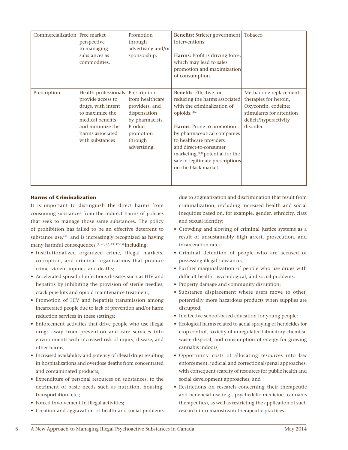| Commercialization Free market | perspective<br>to managing<br>substances as<br>commodities.                                                                                                       | Promotion<br>through<br>advertising and/or<br>sponsorship.                                                                              | <b>Benefits:</b> Stricter government<br>interventions.<br>Harms: Profit is driving force,<br>which may lead to sales<br>promotion and maximization<br>of consumption.                                                                                                                                                                                   | Tobacco                                                                                                                                |
|-------------------------------|-------------------------------------------------------------------------------------------------------------------------------------------------------------------|-----------------------------------------------------------------------------------------------------------------------------------------|---------------------------------------------------------------------------------------------------------------------------------------------------------------------------------------------------------------------------------------------------------------------------------------------------------------------------------------------------------|----------------------------------------------------------------------------------------------------------------------------------------|
| Prescription                  | Health professionals<br>provide access to<br>drugs, with intent<br>to maximize the<br>medical benefits<br>and minimize the<br>harms associated<br>with substances | Prescription<br>from healthcare<br>providers, and<br>dispensation<br>by pharmacists.<br>Product<br>promotion<br>through<br>advertising. | <b>Benefits:</b> Effective for<br>reducing the harms associated<br>with the criminalization of<br>opioids. <sup>(46)</sup><br>Harms: Prone to promotion<br>by pharmaceutical companies<br>to healthcare providers<br>and direct-to-consumer<br>marketing, <sup>(13)</sup> potential for the<br>sale of legitimate prescriptions<br>on the black market. | Methadone replacement<br>therapies for heroin,<br>Oxycontin, codeine;<br>stimulants for attention<br>deficit/hyperactivity<br>disorder |

# **Harms of Criminalization**

It is important to distinguish the direct harms from consuming substances from the indirect harms of policies that seek to manage those same substances. The policy of prohibition has failed to be an effective deterrent to substance use, $(44)$  and is increasingly recognized as having many harmful consequences,<sup>(4, 40, 42, 43, 47-55)</sup> including:

- Institutionalized organized crime, illegal markets, corruption, and criminal organizations that produce crime, violent injuries, and deaths;
- Accelerated spread of infectious diseases such as HIV and hepatitis by inhibiting the provision of sterile needles, crack pipe kits and opioid maintenance treatment;
- Promotion of HIV and hepatitis transmission among incarcerated people due to lack of prevention and/or harm reduction services in these settings;
- Enforcement activities that drive people who use illegal drugs away from prevention and care services into environments with increased risk of injury, disease, and other harms;
- Increased availability and potency of illegal drugs resulting in hospitalizations and overdose deaths from concentrated and contaminated products;
- Expenditure of personal resources on substances, to the detriment of basic needs such as nutrition, housing, transportation, etc.;
- Forced involvement in illegal activities;
- Creation and aggravation of health and social problems

due to stigmatization and discrimination that result from criminalization, including increased health and social inequities based on, for example, gender, ethnicity, class and sexual identity;

- Crowding and slowing of criminal justice systems as a result of unsustainably high arrest, prosecution, and incarceration rates;
- Criminal detention of people who are accused of possessing illegal substances;
- Further marginalization of people who use drugs with difficult health, psychological, and social problems;
- Property damage and community disruption;
- Substance displacement where users move to other, potentially more hazardous products when supplies are disrupted;
- Ineffective school-based education for young people;
- Ecological harms related to aerial spraying of herbicides for crop control, toxicity of unregulated laboratory chemical waste disposal, and consumption of energy for growing cannabis indoors;
- Opportunity costs of allocating resources into law enforcement, judicial and correctional/penal approaches, with consequent scarcity of resources for public health and social development approaches; and
- Restrictions on research concerning their therapeutic and beneficial use (e.g., psychedelic medicine, cannabis therapeutics), as well as restricting the application of such research into mainstream therapeutic practices.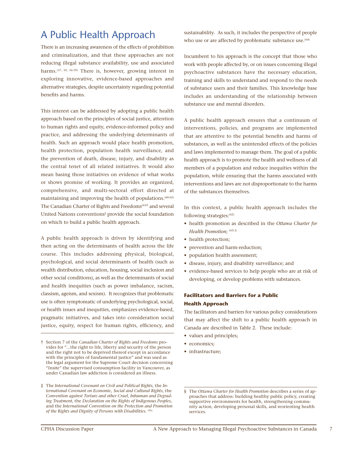# A Public Health Approach

There is an increasing awareness of the effects of prohibition and criminalization, and that these approaches are not reducing illegal substance availability, use and associated harms.(37, 50, 56-59) There is, however, growing interest in exploring innovative, evidence-based approaches and alternative strategies, despite uncertainty regarding potential benefits and harms.

This interest can be addressed by adopting a public health approach based on the principles of social justice, attention to human rights and equity, evidence-informed policy and practice, and addressing the underlying determinants of health. Such an approach would place health promotion, health protection, population health surveillance, and the prevention of death, disease, injury, and disability as the central tenet of all related initiatives. It would also mean basing those initiatives on evidence of what works or shows promise of working. It provides an organized, comprehensive, and multi-sectoral effort directed at maintaining and improving the health of populations.<sup>(60-62)</sup> The Canadian Charter of Rights and Freedoms<sup>(63)†</sup> and several United Nations conventions<sup>‡</sup> provide the social foundation on which to build a public health approach.

A public health approach is driven by identifying and then acting on the determinants of health across the life course. This includes addressing physical, biological, psychological, and social determinants of health (such as wealth distribution, education, housing, social inclusion and other social conditions), as well as the determinants of social and health inequities (such as power imbalance, racism, classism, ageism, and sexism). It recognizes that problematic use is often symptomatic of underlying psychological, social, or health issues and inequities, emphasizes evidence-based, pragmatic initiatives, and takes into consideration social justice, equity, respect for human rights, efficiency, and

sustainability. As such, it includes the perspective of people who use or are affected by problematic substance use.<sup>(64)</sup>

Incumbent to his approach is the concept that those who work with people affected by, or on issues concerning illegal psychoactive substances have the necessary education, training and skills to understand and respond to the needs of substance users and their families. This knowledge base includes an understanding of the relationship between substance use and mental disorders.

A public health approach ensures that a continuum of interventions, policies, and programs are implemented that are attentive to the potential benefits and harms of substances, as well as the unintended effects of the policies and laws implemented to manage them. The goal of a public health approach is to promote the health and wellness of all members of a population and reduce inequities within the population, while ensuring that the harms associated with interventions and laws are not disproportionate to the harms of the substances themselves.

In this context, a public health approach includes the following strategies:<sup>(62)</sup>

- health promotion as described in the *Ottawa Charter for Health Promotion*; (65) §
- health protection;
- prevention and harm-reduction;
- population health assessment;
- disease, injury, and disability surveillance; and
- evidence-based services to help people who are at risk of developing, or develop problems with substances.

# **Facilitators and Barriers for a Public Health Approach**

The facilitators and barriers for various policy considerations that may affect the shift to a public health approach in Canada are described in Table 2. These include:

- values and principles;
- economics;
- infrastructure;

<sup>†</sup> Section 7 of the *Canadian Charter of Rights and Freedoms* provides for "…the right to life, liberty and security of the person and the right not to be deprived thereof except in accordance with the principles of fundamental justice" and was used as the legal argument for the Supreme Court decision concerning "Insite" the supervised consumption facility in Vancouver, as under Canadian law addiction is considered an illness.

<sup>‡</sup> The *International Covenant on Civil and Political Rights*, the *International Covenant on Economic, Social and Cultural Rights*, the C*onvention against Torture and other Cruel, Inhuman and Degrading Treatment*, the *Declaration on the Rights of Indigenous Peoples*, and the *International Convention on the Protection and Promotion of the Rights and Dignity of Persons with Disabilities*. (92)

<sup>§</sup> The *Ottawa Charter for Health Promotion* describes a series of approaches that address: building healthy public policy, creating supportive environments for health, strengthening community action, developing personal skills, and reorienting health services.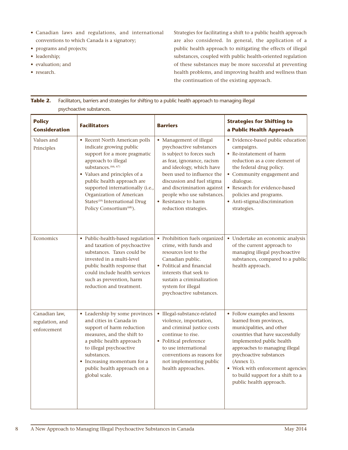- Canadian laws and regulations, and international conventions to which Canada is a signatory;
- programs and projects;
- leadership;
- evaluation; and
- research.

Strategies for facilitating a shift to a public health approach are also considered. In general, the application of a public health approach to mitigating the effects of illegal substances, coupled with public health-oriented regulation of these substances may be more successful at preventing health problems, and improving health and wellness than the continuation of the existing approach.

| Table 2. Facilitators, barriers and strategies for shifting to a public health approach to managing illegal |
|-------------------------------------------------------------------------------------------------------------|
| psychoactive substances.                                                                                    |

| <b>Policy</b><br><b>Consideration</b>           | <b>Facilitators</b>                                                                                                                                                                                                                                                                                                                                        | <b>Barriers</b>                                                                                                                                                                                                                                                                                                    | <b>Strategies for Shifting to</b><br>a Public Health Approach                                                                                                                                                                                                                                                                         |
|-------------------------------------------------|------------------------------------------------------------------------------------------------------------------------------------------------------------------------------------------------------------------------------------------------------------------------------------------------------------------------------------------------------------|--------------------------------------------------------------------------------------------------------------------------------------------------------------------------------------------------------------------------------------------------------------------------------------------------------------------|---------------------------------------------------------------------------------------------------------------------------------------------------------------------------------------------------------------------------------------------------------------------------------------------------------------------------------------|
| Values and<br>Principles                        | • Recent North American polls<br>indicate growing public<br>support for a more pragmatic<br>approach to illegal<br>substances. (66, 67)<br>• Values and principles of a<br>public health approach are<br>supported internationally (i.e.,<br>Organization of American<br>States <sup>(59)</sup> International Drug<br>Policy Consortium <sup>(68)</sup> ). | • Management of illegal<br>psychoactive substances<br>is subject to forces such<br>as fear, ignorance, racism<br>and ideology, which have<br>been used to influence the<br>discussion and fuel stigma<br>and discrimination against<br>people who use substances.<br>• Resistance to harm<br>reduction strategies. | • Evidence-based public education<br>campaigns.<br>• Re-instatement of harm<br>reduction as a core element of<br>the federal drug policy.<br>• Community engagement and<br>dialogue.<br>• Research for evidence-based<br>policies and programs.<br>• Anti-stigma/discrimination<br>strategies.                                        |
| Economics                                       | • Public-health-based regulation<br>and taxation of psychoactive<br>substances. Taxes could be<br>invested in a multi-level<br>public health response that<br>could include health services<br>such as prevention, harm<br>reduction and treatment.                                                                                                        | • Prohibition fuels organized<br>crime, with funds and<br>resources lost to the<br>Canadian public.<br>• Political and financial<br>interests that seek to<br>sustain a criminalization<br>system for illegal<br>psychoactive substances.                                                                          | • Undertake an economic analysis<br>of the current approach to<br>managing illegal psychoactive<br>substances, compared to a public<br>health approach.                                                                                                                                                                               |
| Canadian law,<br>regulation, and<br>enforcement | • Leadership by some provinces<br>and cities in Canada in<br>support of harm reduction<br>measures, and the shift to<br>a public health approach<br>to illegal psychoactive<br>substances.<br>• Increasing momentum for a<br>public health approach on a<br>global scale.                                                                                  | · Illegal-substance-related<br>violence, importation,<br>and criminal justice costs<br>continue to rise.<br>• Political preference<br>to use international<br>conventions as reasons for<br>not implementing public<br>health approaches.                                                                          | • Follow examples and lessons<br>learned from provinces,<br>municipalities, and other<br>countries that have successfully<br>implemented public health<br>approaches to managing illegal<br>psychoactive substances<br>(Annex 1).<br>• Work with enforcement agencies<br>to build support for a shift to a<br>public health approach. |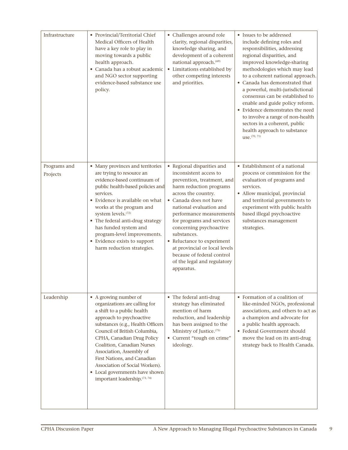| Infrastructure           | • Provincial/Territorial Chief<br>Medical Officers of Health<br>have a key role to play in<br>moving towards a public<br>health approach.<br>· Canada has a robust academic<br>and NGO sector supporting<br>evidence-based substance use<br>policy.                                                                                                                                                                | • Challenges around role<br>clarity, regional disparities,<br>knowledge sharing, and<br>development of a coherent<br>national approach. <sup>(69)</sup><br>• Limitations established by<br>other competing interests<br>and priorities.                                                                                                                                                                                                | • Issues to be addressed<br>include defining roles and<br>responsibilities, addressing<br>regional disparities, and<br>improved knowledge-sharing<br>methodologies which may lead<br>to a coherent national approach.<br>• Canada has demonstrated that<br>a powerful, multi-jurisdictional<br>consensus can be established to<br>enable and guide policy reform.<br>• Evidence demonstrates the need<br>to involve a range of non-health<br>sectors in a coherent, public<br>health approach to substance<br>use. (70, 71) |
|--------------------------|--------------------------------------------------------------------------------------------------------------------------------------------------------------------------------------------------------------------------------------------------------------------------------------------------------------------------------------------------------------------------------------------------------------------|----------------------------------------------------------------------------------------------------------------------------------------------------------------------------------------------------------------------------------------------------------------------------------------------------------------------------------------------------------------------------------------------------------------------------------------|-----------------------------------------------------------------------------------------------------------------------------------------------------------------------------------------------------------------------------------------------------------------------------------------------------------------------------------------------------------------------------------------------------------------------------------------------------------------------------------------------------------------------------|
| Programs and<br>Projects | • Many provinces and territories<br>are trying to resource an<br>evidence-based continuum of<br>public health-based policies and<br>services.<br>• Evidence is available on what<br>works at the program and<br>system levels. <sup>(72)</sup><br>• The federal anti-drug strategy<br>has funded system and<br>program-level improvements.<br>• Evidence exists to support<br>harm reduction strategies.           | • Regional disparities and<br>inconsistent access to<br>prevention, treatment, and<br>harm reduction programs<br>across the country.<br>• Canada does not have<br>national evaluation and<br>performance measurements<br>for programs and services<br>concerning psychoactive<br>substances.<br>• Reluctance to experiment<br>at provincial or local levels<br>because of federal control<br>of the legal and regulatory<br>apparatus. | • Establishment of a national<br>process or commission for the<br>evaluation of programs and<br>services.<br>· Allow municipal, provincial<br>and territorial governments to<br>experiment with public health<br>based illegal psychoactive<br>substances management<br>strategies.                                                                                                                                                                                                                                         |
| Leadership               | • A growing number of<br>organizations are calling for<br>a shift to a public health<br>approach to psychoactive<br>substances (e.g., Health Officers<br>Council of British Columbia,<br>CPHA, Canadian Drug Policy<br>Coalition, Canadian Nurses<br>Association, Assembly of<br>First Nations, and Canadian<br>Association of Social Workers).<br>• Local governments have shown<br>important leadership.(73, 74) | • The federal anti-drug<br>strategy has eliminated<br>mention of harm<br>reduction, and leadership<br>has been assigned to the<br>Ministry of Justice. <sup>(75)</sup><br>• Current "tough on crime"<br>ideology.                                                                                                                                                                                                                      | • Formation of a coalition of<br>like-minded NGOs, professional<br>associations, and others to act as<br>a champion and advocate for<br>a public health approach.<br>• Federal Government should<br>move the lead on its anti-drug<br>strategy back to Health Canada.                                                                                                                                                                                                                                                       |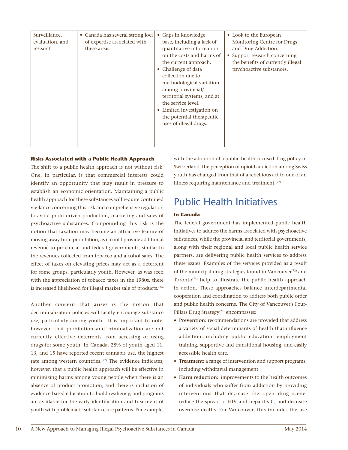| Surveillance,<br>Canada has several strong loci<br>$\bullet$<br>of expertise associated with<br>evaluation, and<br>these areas.<br>research | • Gaps in knowledge<br>base, including a lack of<br>quantitative information<br>on the costs and harms of<br>the current approach.<br>Challenge of data<br>collection due to<br>methodological variation<br>among provincial/<br>territorial systems, and at<br>the service level.<br>Limited investigation on<br>$\bullet$<br>the potential therapeutic<br>uses of illegal drugs. | • Look to the European<br>Monitoring Centre for Drugs<br>and Drug Addiction.<br>Support research concerning<br>$\bullet$<br>the benefits of currently illegal<br>psychoactive substances. |
|---------------------------------------------------------------------------------------------------------------------------------------------|------------------------------------------------------------------------------------------------------------------------------------------------------------------------------------------------------------------------------------------------------------------------------------------------------------------------------------------------------------------------------------|-------------------------------------------------------------------------------------------------------------------------------------------------------------------------------------------|
|---------------------------------------------------------------------------------------------------------------------------------------------|------------------------------------------------------------------------------------------------------------------------------------------------------------------------------------------------------------------------------------------------------------------------------------------------------------------------------------------------------------------------------------|-------------------------------------------------------------------------------------------------------------------------------------------------------------------------------------------|

# **Risks Associated with a Public Health Approach**

The shift to a public health approach is not without risk. One, in particular, is that commercial interests could identify an opportunity that may result in pressure to establish an economic orientation. Maintaining a public health approach for these substances will require continued vigilance concerning this risk and comprehensive regulation to avoid profit-driven production, marketing and sales of psychoactive substances. Compounding this risk is the notion that taxation may become an attractive feature of moving away from prohibition, as it could provide additional revenue to provincial and federal governments, similar to the revenues collected from tobacco and alcohol sales. The effect of taxes on elevating prices may act as a deterrent for some groups, particularly youth. However, as was seen with the appreciation of tobacco taxes in the 1980s, there is increased likelihood for illegal market sale of products.<sup>(76)</sup>

Another concern that arises is the notion that decriminalization policies will tacitly encourage substance use, particularly among youth. It is important to note, however, that prohibition and criminalization are not currently effective deterrents from accessing or using drugs for some youth. In Canada, 28% of youth aged 11, 13, and 15 have reported recent cannabis use, the highest rate among western countries.<sup>(77)</sup> The evidence indicates, however, that a public health approach will be effective in minimizing harms among young people when there is an absence of product promotion, and there is inclusion of evidence-based education to build resiliency, and programs are available for the early identification and treatment of youth with problematic substance use patterns. For example, with the adoption of a public-health-focused drug policy in Switzerland, the perception of opioid addiction among Swiss youth has changed from that of a rebellious act to one of an illness requiring maintenance and treatment. $(77)$ 

# Public Health Initiatives

# **In Canada**

The federal government has implemented public health initiatives to address the harms associated with psychoactive substances, while the provincial and territorial governments, along with their regional and local public health service partners, are delivering public health services to address these issues. Examples of the services provided as a result of the municipal drug strategies found in Vancouver $(73)$  and Toronto<sup>(74)</sup> help to illustrate the public health approach in action. These approaches balance interdepartmental cooperation and coordination to address both public order and public health concerns. The City of Vancouver's Four-Pillars Drug Strategy<sup>(73)</sup> encompasses:

- **• Prevention:** recommendations are provided that address a variety of social determinants of health that influence addiction, including public education, employment training, supportive and transitional housing, and easily accessible health care.
- **• Treatment:** a range of intervention and support programs, including withdrawal management.
- **• Harm reduction:** improvements to the health outcomes of individuals who suffer from addiction by providing interventions that decrease the open drug scene, reduce the spread of HIV and hepatitis C, and decrease overdose deaths. For Vancouver, this includes the use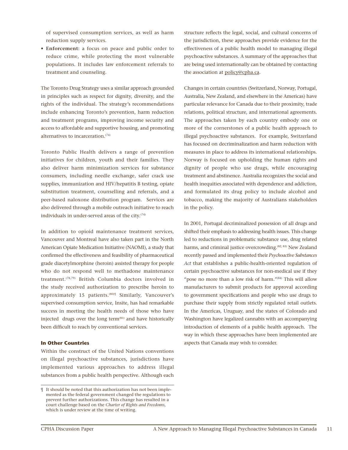of supervised consumption services, as well as harm reduction supply services.

**• Enforcement:** a focus on peace and public order to reduce crime, while protecting the most vulnerable populations. It includes law enforcement referrals to treatment and counseling.

The Toronto Drug Strategy uses a similar approach grounded in principles such as respect for dignity, diversity, and the rights of the individual. The strategy's recommendations include enhancing Toronto's prevention, harm reduction and treatment programs, improving income security and access to affordable and supportive housing, and promoting alternatives to incarceration.(74)

Toronto Public Health delivers a range of prevention initiatives for children, youth and their families. They also deliver harm minimization services for substance consumers, including needle exchange, safer crack use supplies, immunization and HIV/hepatitis B testing, opiate substitution treatment, counselling and referrals, and a peer-based naloxone distribution program. Services are also delivered through a mobile outreach initiative to reach individuals in under-served areas of the city. $(74)$ 

In addition to opioid maintenance treatment services, Vancouver and Montreal have also taken part in the North American Opiate Medication Initiative (NAOMI), a study that confirmed the effectiveness and feasibility of pharmaceutical grade diacetylmorphine (heroin) assisted therapy for people who do not respond well to methadone maintenance treatment.(78,79) British Columbia doctors involved in the study received authorization to prescribe heroin to approximately 15 patients.<sup>(80)¶</sup> Similarly, Vancouver's supervised consumption service, Insite, has had remarkable success in meeting the health needs of those who have injected drugs over the long term<sup>(81)</sup> and have historically been difficult to reach by conventional services.

### **In Other Countries**

Within the construct of the United Nations conventions on illegal psychoactive substances, jurisdictions have implemented various approaches to address illegal substances from a public health perspective. Although each

structure reflects the legal, social, and cultural concerns of the jurisdiction, these approaches provide evidence for the effectiveness of a public health model to managing illegal psychoactive substances. A summary of the approaches that are being used internationally can be obtained by contacting the association at policy@cpha.ca.

Changes in certain countries (Switzerland, Norway, Portugal, Australia, New Zealand, and elsewhere in the Americas) have particular relevance for Canada due to their proximity, trade relations, political structure, and international agreements. The approaches taken by each country embody one or more of the cornerstones of a public health approach to illegal psychoactive substances. For example, Switzerland has focused on decriminalization and harm reduction with measures in place to address its international relationships. Norway is focused on upholding the human rights and dignity of people who use drugs, while encouraging treatment and abstinence. Australia recognizes the social and health inequities associated with dependence and addiction, and formulated its drug policy to include alcohol and tobacco, making the majority of Australians stakeholders in the policy.

In 2001, Portugal decriminalized possession of all drugs and shifted their emphasis to addressing health issues. This change led to reductions in problematic substance use, drug related harms, and criminal justice overcrowding.<sup>(82, 83)</sup> New Zealand recently passed and implemented their *Psychoactive Substances Act* that establishes a public-health-oriented regulation of certain psychoactive substances for non-medical use if they "pose no more than a low risk of harm."<sup>(84)</sup> This will allow manufacturers to submit products for approval according to government specifications and people who use drugs to purchase their supply from strictly regulated retail outlets. In the Americas, Uruguay, and the states of Colorado and Washington have legalized cannabis with an accompanying introduction of elements of a public health approach. The way in which these approaches have been implemented are aspects that Canada may wish to consider.

<sup>¶</sup> It should be noted that this authorization has not been implemented as the federal government changed the regulations to prevent further authorizations. This change has resulted in a court challenge based on the *Charter of Rights and Freedoms*, which is under review at the time of writing.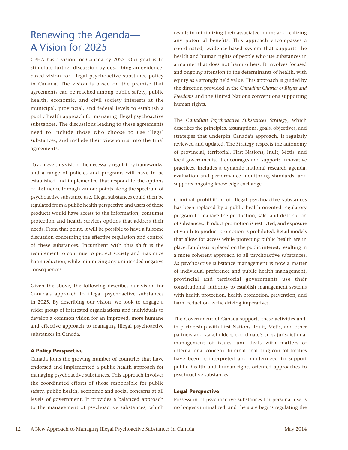# Renewing the Agenda— A Vision for 2025

CPHA has a vision for Canada by 2025. Our goal is to stimulate further discussion by describing an evidencebased vision for illegal psychoactive substance policy in Canada. The vision is based on the premise that agreements can be reached among public safety, public health, economic, and civil society interests at the municipal, provincial, and federal levels to establish a public health approach for managing illegal psychoactive substances. The discussions leading to these agreements need to include those who choose to use illegal substances, and include their viewpoints into the final agreements.

To achieve this vision, the necessary regulatory frameworks, and a range of policies and programs will have to be established and implemented that respond to the options of abstinence through various points along the spectrum of psychoactive substance use. Illegal substances could then be regulated from a public health perspective and users of these products would have access to the information, consumer protection and health services options that address their needs. From that point, it will be possible to have a fulsome discussion concerning the effective regulation and control of these substances. Incumbent with this shift is the requirement to continue to protect society and maximize harm reduction, while minimizing any unintended negative consequences.

Given the above, the following describes our vision for Canada's approach to illegal psychoactive substances in 2025. By describing our vision, we look to engage a wider group of interested organizations and individuals to develop a common vision for an improved, more humane and effective approach to managing illegal psychoactive substances in Canada.

# **A Policy Perspective**

Canada joins the growing number of countries that have endorsed and implemented a public health approach for managing psychoactive substances. This approach involves the coordinated efforts of those responsible for public safety, public health, economic and social concerns at all levels of government. It provides a balanced approach to the management of psychoactive substances, which

results in minimizing their associated harms and realizing any potential benefits. This approach encompasses a coordinated, evidence-based system that supports the health and human rights of people who use substances in a manner that does not harm others. It involves focused and ongoing attention to the determinants of health, with equity as a strongly held value. This approach is guided by the direction provided in the *Canadian Charter of Rights and Freedoms* and the United Nations conventions supporting human rights.

The *Canadian Psychoactive Substances Strategy*, which describes the principles, assumptions, goals, objectives, and strategies that underpin Canada's approach, is regularly reviewed and updated. The Strategy respects the autonomy of provincial, territorial, First Nations, Inuit, Métis, and local governments. It encourages and supports innovative practices, includes a dynamic national research agenda, evaluation and performance monitoring standards, and supports ongoing knowledge exchange.

Criminal prohibition of illegal psychoactive substances has been replaced by a public-health-oriented regulatory program to manage the production, sale, and distribution of substances. Product promotion is restricted, and exposure of youth to product promotion is prohibited. Retail models that allow for access while protecting public health are in place. Emphasis is placed on the public interest, resulting in a more coherent approach to all psychoactive substances. As psychoactive substance management is now a matter of individual preference and public health management, provincial and territorial governments use their constitutional authority to establish management systems with health protection, health promotion, prevention, and harm reduction as the driving imperatives.

The Government of Canada supports these activities and, in partnership with First Nations, Inuit, Métis, and other partners and stakeholders, coordinate's cross-jurisdictional management of issues, and deals with matters of international concern. International drug control treaties have been re-interpreted and modernized to support public health and human-rights-oriented approaches to psychoactive substances.

# **Legal Perspective**

Possession of psychoactive substances for personal use is no longer criminalized, and the state begins regulating the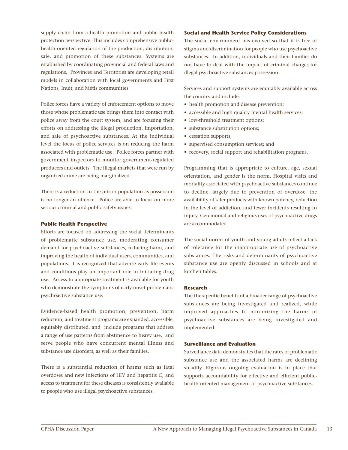supply chain from a health promotion and public health protection perspective. This includes comprehensive publichealth-oriented regulation of the production, distribution, sale, and promotion of these substances. Systems are established by coordinating provincial and federal laws and regulations. Provinces and Territories are developing retail models in collaboration with local governments and First Nations, Inuit, and Métis communities.

Police forces have a variety of enforcement options to move those whose problematic use brings them into contact with police away from the court system, and are focusing their efforts on addressing the illegal production, importation, and sale of psychoactive substances. At the individual level the focus of police services is on reducing the harm associated with problematic use. Police forces partner with government inspectors to monitor government-regulated producers and outlets. The illegal markets that were run by organized crime are being marginalized.

There is a reduction in the prison population as possession is no longer an offence. Police are able to focus on more serious criminal and public safety issues.

# **Public Health Perspective**

Efforts are focused on addressing the social determinants of problematic substance use, moderating consumer demand for psychoactive substances, reducing harm, and improving the health of individual users, communities, and populations. It is recognized that adverse early life events and conditions play an important role in initiating drug use. Access to appropriate treatment is available for youth who demonstrate the symptoms of early onset problematic psychoactive substance use.

Evidence-based health promotion, prevention, harm reduction, and treatment programs are expanded, accessible, equitably distributed, and include programs that address a range of use patterns from abstinence to heavy use, and serve people who have concurrent mental illness and substance use disorders, as well as their families.

There is a substantial reduction of harms such as fatal overdoses and new infections of HIV and hepatitis C, and access to treatment for these diseases is consistently available to people who use illegal psychoactive substances.

### **Social and Health Service Policy Considerations**

The social environment has evolved so that it is free of stigma and discrimination for people who use psychoactive substances. In addition, individuals and their families do not have to deal with the impact of criminal charges for illegal psychoactive substances possession.

Services and support systems are equitably available across the country and include:

- health promotion and disease prevention;
- accessible and high quality mental health services;
- low-threshold treatment options;
- substance substitution options;
- cessation supports;
- supervised consumption services; and
- recovery, social support and rehabilitation programs.

Programming that is appropriate to culture, age, sexual orientation, and gender is the norm. Hospital visits and mortality associated with psychoactive substances continue to decline, largely due to prevention of overdose, the availability of safer products with known potency, reduction in the level of addiction, and fewer incidents resulting in injury. Ceremonial and religious uses of psychoactive drugs are accommodated.

The social norms of youth and young adults reflect a lack of tolerance for the inappropriate use of psychoactive substances. The risks and determinants of psychoactive substance use are openly discussed in schools and at kitchen tables.

### **Research**

The therapeutic benefits of a broader range of psychoactive substances are being investigated and realized, while improved approaches to minimizing the harms of psychoactive substances are being investigated and implemented.

# **Surveillance and Evaluation**

Surveillance data demonstrates that the rates of problematic substance use and the associated harms are declining steadily. Rigorous ongoing evaluation is in place that supports accountability for effective and efficient publichealth-oriented management of psychoactive substances.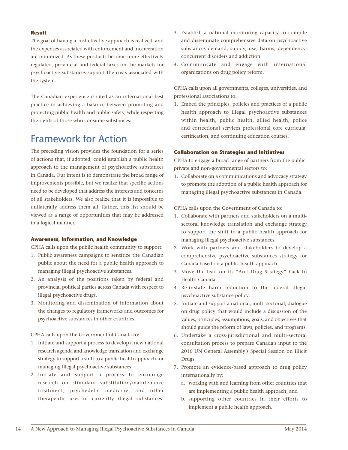# **Result**

The goal of having a cost-effective approach is realized, and the expenses associated with enforcement and incarceration are minimized. As these products become more effectively regulated, provincial and federal taxes on the markets for psychoactive substances support the costs associated with the system.

The Canadian experience is cited as an international best practice in achieving a balance between promoting and protecting public health and public safety, while respecting the rights of those who consume substances.

# Framework for Action

The preceding vision provides the foundation for a series of actions that, if adopted, could establish a public health approach to the management of psychoactive substances in Canada. Our intent is to demonstrate the broad range of improvements possible, but we realize that specific actions need to be developed that address the interests and concerns of all stakeholders. We also realize that it is impossible to unilaterally address them all. Rather, this list should be viewed as a range of opportunities that may be addressed in a logical manner.

# **Awareness, Information, and Knowledge**

CPHA calls upon the public health community to support:

- 1. Public awareness campaigns to sensitize the Canadian public about the need for a public health approach to managing illegal psychoactive substances.
- 2. An analysis of the positions taken by federal and provincial political parties across Canada with respect to illegal psychoactive drugs.
- 3. Monitoring and dissemination of information about the changes to regulatory frameworks and outcomes for psychoactive substances in other countries.

CPHA calls upon the Government of Canada to:

- 1. Initiate and support a process to develop a new national research agenda and knowledge translation and exchange strategy to support a shift to a public health approach for managing illegal psychoactive substances.
- 2. Initiate and support a process to encourage research on stimulant substitution/maintenance treatment, psychedelic medicine, and other therapeutic uses of currently illegal substances.
- 3. Establish a national monitoring capacity to compile and disseminate comprehensive data on psychoactive substances demand, supply, use, harms, dependency, concurrent disorders and addiction.
- 4. Communicate and engage with international organizations on drug policy reform.

CPHA calls upon all governments, colleges, universities, and professional associations to:

1. Embed the principles, policies and practices of a public health approach to illegal psychoactive substances within health, public health, allied health, police and correctional services professional core curricula, certification, and continuing education courses.

# **Collaboration on Strategies and Initiatives**

CPHA to engage a broad range of partners from the public, private and non-governmental sectors to:

1. Collaborate on a communications and advocacy strategy to promote the adoption of a public health approach for managing illegal psychoactive substances in Canada.

CPHA calls upon the Government of Canada to:

- 1. Collaborate with partners and stakeholders on a multisectoral knowledge translation and exchange strategy to support the shift to a public health approach for managing illegal psychoactive substances.
- 2. Work with partners and stakeholders to develop a comprehensive psychoactive substances strategy for Canada based on a public health approach.
- 3. Move the lead on its "Anti-Drug Strategy" back to Health Canada.
- 4. Re-instate harm reduction to the federal illegal psychoactive substance policy.
- 5. Initiate and support a national, multi-sectorial, dialogue on drug policy that would include a discussion of the values, principles, assumptions, goals, and objectives that should guide the reform of laws, policies, and programs.
- 6. Undertake a cross-jurisdictional and multi-sectoral consultation process to prepare Canada's input to the 2016 UN General Assembly's Special Session on Illicit Drugs.
- 7. Promote an evidence-based approach to drug policy internationally by:
	- a. working with and learning from other countries that are implementing a public health approach, and
	- b. supporting other countries in their efforts to implement a public health approach.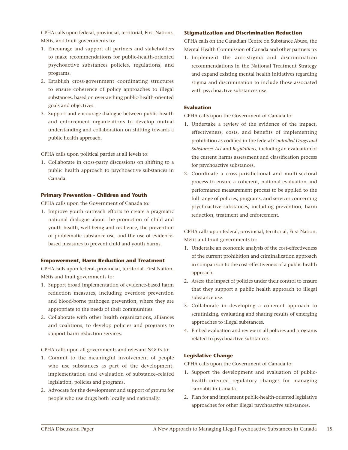CPHA calls upon federal, provincial, territorial, First Nations, Métis, and Inuit governments to:

- 1. Encourage and support all partners and stakeholders to make recommendations for public-health-oriented psychoactive substances policies, regulations, and programs.
- 2. Establish cross-government coordinating structures to ensure coherence of policy approaches to illegal substances, based on over-arching public-health-oriented goals and objectives.
- 3. Support and encourage dialogue between public health and enforcement organizations to develop mutual understanding and collaboration on shifting towards a public health approach.

CPHA calls upon political parties at all levels to:

1. Collaborate in cross-party discussions on shifting to a public health approach to psychoactive substances in Canada.

# **Primary Prevention - Children and Youth**

CPHA calls upon the Government of Canada to:

1. Improve youth outreach efforts to create a pragmatic national dialogue about the promotion of child and youth health, well-being and resilience, the prevention of problematic substance use, and the use of evidencebased measures to prevent child and youth harms.

# **Empowerment, Harm Reduction and Treatment**

CPHA calls upon federal, provincial, territorial, First Nation, Métis and Inuit governments to:

- 1. Support broad implementation of evidence-based harm reduction measures, including overdose prevention and blood-borne pathogen prevention, where they are appropriate to the needs of their communities.
- 2. Collaborate with other health organizations, alliances and coalitions, to develop policies and programs to support harm reduction services.

CPHA calls upon all governments and relevant NGO's to:

- 1. Commit to the meaningful involvement of people who use substances as part of the development, implementation and evaluation of substance–related legislation, policies and programs.
- 2. Advocate for the development and support of groups for people who use drugs both locally and nationally.

### **Stigmatization and Discrimination Reduction**

CPHA calls on the Canadian Centre on Substance Abuse, the Mental Health Commission of Canada and other partners to:

1. Implement the anti-stigma and discrimination recommendations in the National Treatment Strategy and expand existing mental health initiatives regarding stigma and discrimination to include those associated with psychoactive substances use.

# **Evaluation**

CPHA calls upon the Government of Canada to:

- 1. Undertake a review of the evidence of the impact, effectiveness, costs, and benefits of implementing prohibition as codified in the federal *Controlled Drugs and Substances Act* and *Regulations*, including an evaluation of the current harms assessment and classification process for psychoactive substances.
- 2. Coordinate a cross-jurisdictional and multi-sectoral process to ensure a coherent, national evaluation and performance measurement process to be applied to the full range of policies, programs, and services concerning psychoactive substances, including prevention, harm reduction, treatment and enforcement.

CPHA calls upon federal, provincial, territorial, First Nation, Métis and Inuit governments to:

- 1. Undertake an economic analysis of the cost-effectiveness of the current prohibition and criminalization approach in comparison to the cost-effectiveness of a public health approach.
- 2. Assess the impact of policies under their control to ensure that they support a public health approach to illegal substance use.
- 3. Collaborate in developing a coherent approach to scrutinizing, evaluating and sharing results of emerging approaches to illegal substances.
- 4. Embed evaluation and review in all policies and programs related to psychoactive substances.

# **Legislative Change**

CPHA calls upon the Government of Canada to:

- 1. Support the development and evaluation of publichealth-oriented regulatory changes for managing cannabis in Canada.
- 2. Plan for and implement public-health-oriented legislative approaches for other illegal psychoactive substances.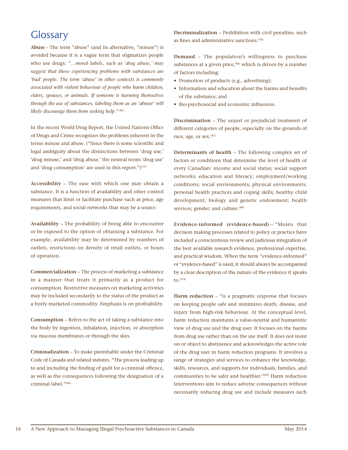# **Glossary**

**Abuse** - The term "abuse" (and its alternative, "misuse") is avoided because it is a vague term that stigmatizes people who use drugs. *"…moral labels, such as 'drug abuse,' may suggest that those experiencing problems with substances are 'bad' people. The term 'abuse' in other contexts is commonly associated with violent behaviour of people who harm children, elders, spouses, or animals. If someone is harming themselves through the use of substances, labeling them as an 'abuser' will likely discourage them from seeking help.*"<sup>(85)</sup>

In the recent World Drug Report, the United Nations Office of Drugs and Crime recognizes the problems inherent in the terms misuse and abuse. ("Since there is some scientific and legal ambiguity about the distinctions between 'drug use,' 'drug misuse,' and 'drug abuse,' the neutral terms 'drug use' and 'drug consumption' are used in this report.")<sup>(15)</sup>

**Accessibility** – The ease with which one may obtain a substance. It is a function of availability and other control measures that limit or facilitate purchase such as price, age requirements, and social networks that may be a source.

**Availability** – The probability of being able to encounter or be exposed to the option of obtaining a substance. For example, availability may be determined by numbers of outlets, restrictions on density of retail outlets, or hours of operation.

**Commercialization** – The process of marketing a substance in a manner that treats it primarily as a product for consumption. Restrictive measures on marketing activities may be included secondarily to the status of the product as a freely marketed commodity. Emphasis is on profitability.

**Consumption** – Refers to the act of taking a substance into the body by ingestion, inhalation, injection, or absorption via mucous membranes or through the skin.

**Criminalization** – To make punishable under the Criminal Code of Canada and related statutes. "The process leading up to and including the finding of guilt for a criminal offence, as well as the consequences following the designation of a criminal label."(86)

**Decriminalization** – Prohibition with civil penalties, such as fines and administrative sanctions.(50)

**Demand** – The population's willingness to purchase substances at a given price, $(86)$  which is driven by a number of factors including:

- Promotion of products (e.g., advertising);
- Information and education about the harms and benefits of the substance; and
- Bio-psychosocial and economic influences.

**Discrimination** – The unjust or prejudicial treatment of different categories of people, especially on the grounds of race, age, or sex.<sup>(87)</sup>

**Determinants of health** – The following complex set of factors or conditions that determine the level of health of every Canadian: income and social status; social support networks; education and literacy; employment/working conditions; social environments; physical environments; personal health practices and coping skills; healthy child development; biology and genetic endowment; health services; gender; and culture.<sup>(88)</sup>

**Evidence-informed (evidence-based)** – "Means that decision making processes related to policy or practice have included a conscientious review and judicious integration of the best available research evidence, professional expertise, and practical wisdom. When the term "evidence-informed" or "evidence-based" is used, it should always be accompanied by a clear description of the nature of the evidence it speaks to." $(4)$ 

Harm reduction – "is a pragmatic response that focuses on keeping people safe and minimizes death, disease, and injury from high-risk behaviour. At the conceptual level, harm reduction maintains a value-neutral and humanistic view of drug use and the drug user. It focuses on the harms from drug use rather than on the use itself. It does not insist on or object to abstinence and acknowledges the active role of the drug user in harm reduction programs. It involves a range of strategies and services to enhance the knowledge, skills, resources, and supports for individuals, families, and communities to be safer and healthier."(89) Harm reduction interventions aim to reduce adverse consequences without necessarily reducing drug use and include measures such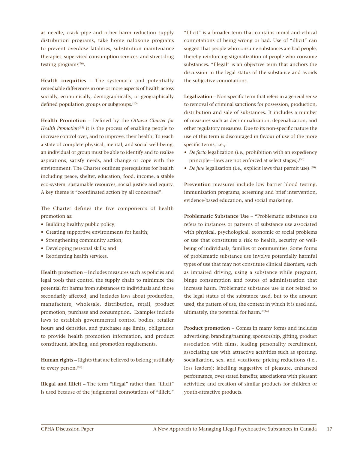as needle, crack pipe and other harm reduction supply distribution programs, take home naloxone programs to prevent overdose fatalities, substitution maintenance therapies, supervised consumption services, and street drug testing programs(90).

**Health inequities** – The systematic and potentially remediable differences in one or more aspects of health across socially, economically, demographically, or geographically defined population groups or subgroups.<sup>(10)</sup>

**Health Promotion** – Defined by the *Ottawa Charter for Health Promotion*<sup>(65)</sup> it is the process of enabling people to increase control over, and to improve, their health. To reach a state of complete physical, mental, and social well-being, an individual or group must be able to identify and to realize aspirations, satisfy needs, and change or cope with the environment. The Charter outlines prerequisites for health including peace, shelter, education, food, income, a stable eco-system, sustainable resources, social justice and equity. A key theme is "coordinated action by all concerned".

The Charter defines the five components of health promotion as:

- Building healthy public policy;
- Creating supportive environments for health;
- Strengthening community action;
- Developing personal skills; and
- Reorienting health services.

**Health protection** – Includes measures such as policies and legal tools that control the supply chain to minimize the potential for harms from substances to individuals and those secondarily affected, and includes laws about production, manufacture, wholesale, distribution, retail, product promotion, purchase and consumption. Examples include laws to establish governmental control bodies, retailer hours and densities, and purchaser age limits, obligations to provide health promotion information, and product constituent, labeling, and promotion requirements.

**Human rights** – Rights that are believed to belong justifiably to every person.<sup>(87)</sup>

**Illegal and Illicit** – The term "illegal" rather than "illicit" is used because of the judgmental connotations of "illicit."

"Illicit" is a broader term that contains moral and ethical connotations of being wrong or bad. Use of "illicit" can suggest that people who consume substances are bad people, thereby reinforcing stigmatization of people who consume substances. "Illegal" is an objective term that anchors the discussion in the legal status of the substance and avoids the subjective connotations.

**Legalization** – Non-specific term that refers in a general sense to removal of criminal sanctions for possession, production, distribution and sale of substances. It includes a number of measures such as decriminalization, depenalization, and other regulatory measures. Due to its non-specific nature the use of this term is discouraged in favour of use of the more specific terms, i.e.,:

- *• De facto* legalization (i.e., prohibition with an expediency principle—laws are not enforced at select stages).<sup>(50)</sup>
- *De jure* legalization (i.e., explicit laws that permit use).<sup>(50)</sup>

**Prevention** measures include low barrier blood testing, immunization programs, screening and brief intervention, evidence-based education, and social marketing.

**Problematic Substance Use** – "Problematic substance use refers to instances or patterns of substance use associated with physical, psychological, economic or social problems or use that constitutes a risk to health, security or wellbeing of individuals, families or communities. Some forms of problematic substance use involve potentially harmful types of use that may not constitute clinical disorders, such as impaired driving, using a substance while pregnant, binge consumption and routes of administration that increase harm. Problematic substance use is not related to the legal status of the substance used, but to the amount used, the pattern of use, the context in which it is used and, ultimately, the potential for harm."(16)

**Product promotion** – Comes in many forms and includes advertising, branding/naming, sponsorship, gifting, product association with films, leading personality recruitment, associating use with attractive activities such as sporting, socialization, sex, and vacations; pricing reductions (i.e., loss leaders); labelling suggestive of pleasure, enhanced performance, over stated benefits; associations with pleasant activities; and creation of similar products for children or youth-attractive products.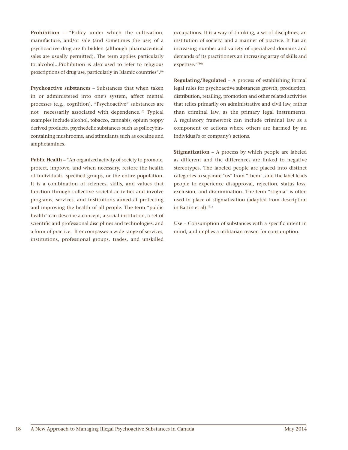**Prohibition** – "Policy under which the cultivation, manufacture, and/or sale (and sometimes the use) of a psychoactive drug are forbidden (although pharmaceutical sales are usually permitted). The term applies particularly to alcohol...Prohibition is also used to refer to religious proscriptions of drug use, particularly in Islamic countries".<sup>(6)</sup>

**Psychoactive substances** – Substances that when taken in or administered into one's system, affect mental processes (e.g., cognition). "Psychoactive" substances are not necessarily associated with dependence.<sup>(6)</sup> Typical examples include alcohol, tobacco, cannabis, opium poppy derived products, psychedelic substances such as psilocybincontaining mushrooms, and stimulants such as cocaine and amphetamines.

Public Health – "An organized activity of society to promote, protect, improve, and when necessary, restore the health of individuals, specified groups, or the entire population. It is a combination of sciences, skills, and values that function through collective societal activities and involve programs, services, and institutions aimed at protecting and improving the health of all people. The term "public health" can describe a concept, a social institution, a set of scientific and professional disciplines and technologies, and a form of practice. It encompasses a wide range of services, institutions, professional groups, trades, and unskilled

occupations. It is a way of thinking, a set of disciplines, an institution of society, and a manner of practice. It has an increasing number and variety of specialized domains and demands of its practitioners an increasing array of skills and expertise."(60)

**Regulating/Regulated** – A process of establishing formal legal rules for psychoactive substances growth, production, distribution, retailing, promotion and other related activities that relies primarily on administrative and civil law, rather than criminal law, as the primary legal instruments. A regulatory framework can include criminal law as a component or actions where others are harmed by an individual's or company's actions.

**Stigmatization** – A process by which people are labeled as different and the differences are linked to negative stereotypes. The labeled people are placed into distinct categories to separate "us" from "them", and the label leads people to experience disapproval, rejection, status loss, exclusion, and discrimination. The term "stigma" is often used in place of stigmatization (adapted from description in Battin et al). $(91)$ 

**Use** – Consumption of substances with a specific intent in mind, and implies a utilitarian reason for consumption.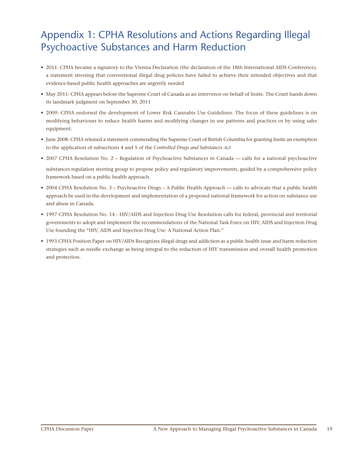# Appendix 1: CPHA Resolutions and Actions Regarding Illegal Psychoactive Substances and Harm Reduction

- 2011: CPHA became a signatory to the Vienna Declaration (the declaration of the 18th International AIDS Conference), a statement stressing that conventional illegal drug policies have failed to achieve their intended objectives and that evidence-based public health approaches are urgently needed
- May 2011: CPHA appears before the Supreme Court of Canada as an intervenor on behalf of Insite. The Court hands down its landmark judgment on September 30, 2011
- 2009: CPHA endorsed the development of Lower Risk Cannabis Use Guidelines. The focus of these guidelines is on modifying behaviours to reduce health harms and modifying changes in use patterns and practices or by using safer equipment.
- June 2008: CPHA released a statement commending the Supreme Court of British Columbia for granting Insite an exemption to the application of subsections 4 and 5 of the *Controlled Drugs and Substances Act*
- 2007 CPHA Resolution No. 2 Regulation of Psychoactive Substances in Canada calls for a national psychoactive substances regulation steering group to propose policy and regulatory improvements, guided by a comprehensive policy framework based on a public health approach.
- 2004 CPHA Resolution No. 3 Psychoactive Drugs A Public Health Approach calls to advocate that a public health approach be used in the development and implementation of a proposed national framework for action on substance use and abuse in Canada.
- 1997 CPHA Resolution No. 14 HIV/AIDS and Injection Drug Use Resolution calls for federal, provincial and territorial governments to adopt and implement the recommendations of the National Task Force on HIV, AIDS and Injection Drug Use founding the "HIV, AIDS and Injection Drug Use: A National Action Plan."
- 1993 CPHA Position Paper on HIV/AIDs Recognizes illegal drugs and addiction as a public health issue and harm reduction strategies such as needle exchange as being integral to the reduction of HIV transmission and overall health promotion and protection.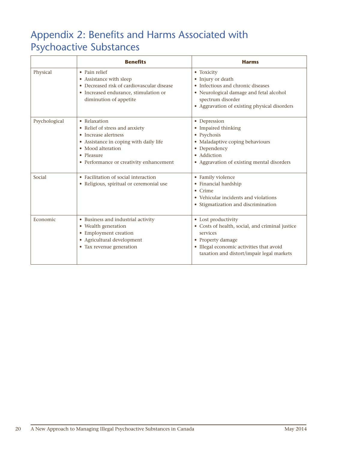# Appendix 2: Benefits and Harms Associated with Psychoactive Substances

|               | <b>Benefits</b>                                                                                                                                                                                | <b>Harms</b>                                                                                                                                                                                     |
|---------------|------------------------------------------------------------------------------------------------------------------------------------------------------------------------------------------------|--------------------------------------------------------------------------------------------------------------------------------------------------------------------------------------------------|
| Physical      | • Pain relief<br>• Assistance with sleep<br>• Decreased risk of cardiovascular disease<br>• Increased endurance, stimulation or<br>diminution of appetite                                      | • Toxicity<br>• Injury or death<br>• Infectious and chronic diseases<br>• Neurological damage and fetal alcohol<br>spectrum disorder<br>• Aggravation of existing physical disorders             |
| Psychological | • Relaxation<br>• Relief of stress and anxiety<br>• Increase alertness<br>• Assistance in coping with daily life<br>• Mood alteration<br>• Pleasure<br>• Performance or creativity enhancement | • Depression<br>• Impaired thinking<br>• Psychosis<br>• Maladaptive coping behaviours<br>• Dependency<br>• Addiction<br>• Aggravation of existing mental disorders                               |
| Social        | • Facilitation of social interaction<br>• Religious, spiritual or ceremonial use                                                                                                               | • Family violence<br>• Financial hardship<br>$\bullet$ Crime<br>• Vehicular incidents and violations<br>• Stigmatization and discrimination                                                      |
| Economic      | • Business and industrial activity<br>• Wealth generation<br>• Employment creation<br>• Agricultural development<br>• Tax revenue generation                                                   | • Lost productivity<br>• Costs of health, social, and criminal justice<br>services<br>• Property damage<br>• Illegal economic activities that avoid<br>taxation and distort/impair legal markets |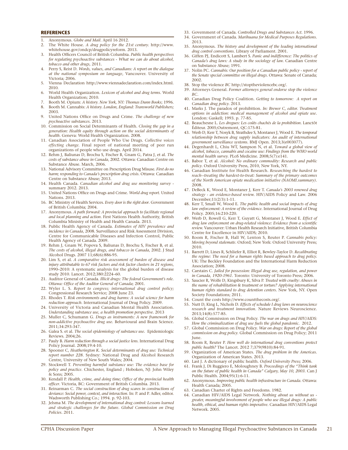### **REFERENCES**

- 1. Anonymous. *Globe and Mail.* April 16 2012*.*
- 2. The White House. *A drug policy for the 21st century.* http://www. whitehouse.gov/ondcp/drugpolicyreform*.* 2013*.*
- 3. Health Officers Council of British Columbia. *Public health perspectives for regulating psychoactive substances - What we can do about alcohol, tobacco and other drugs,* 2011*.*
- 4. Perry S, Reist D. *Words, values, and Canadians: A report on the dialogue at the national symposium on language*, Vancouver. University of Victoria; 2006.
- 5. Vienna Declaration http://www.viennadeclaration.com/index.html. 2010.
- 6. World Health Organization. *Lexicon of alcohol and drug terms*. World Health Organization; 2010.
- 7. Booth M. Opium: *A history. New York, NY: Thomas Dunn Books*; 1996.
- 8. Booth M. Cannabis: *A history. London, England: Transworld Publishers;* 2003.
- 9. United Nations Office on Drugs and Crime. *The challenge of new psychoactive substances.* 2013.
- 10. Commission on Social Determinants of Health. *Closing the gap in a generation: Health equity through action on the social determinants of health.* Geneva: World Health Organization. 2008.
- 11. Canadian Association of People Who Use Drugs. *Collective voices effecting change.* Final report of national meeting of peer run organizations of people who use drugs. April 2014.
- 12. Rehm J, Baliunas D, Brochu S, Fischer B, Gnam G, Patra J, et al. *The costs of substance abuse in Canada*, 2002. Ottawa: Canadian Centre on Substance Abuse. March, 2006.
- 13. National Advisory Committee on Prescription Drug Misuse. *First do no harm; responding to Canada's prescription drug crisis*. Ottawa: Canadian Centre on Substance Abuse; 2013.
- 14. Health Canada. *Canadian alcohol and drug use monitoring survey*  summary 2012. 2013.
- 15. United Nations Office on Drugs and Crime. *World drug report*. United Nations. 2013.
- 16. BC Ministry of Health Services. *Every door is the right door*. Government of British Columbia; 2004.
- 17. Anonymous. *A path forward: A provincial approach to facilitate regional and local planning and action.* First Nations Health Authority, British Columbia Ministry of Health and Health Canada. 2013.
- 18. Public Health Agency of Canada. *Estimates of HIV prevalence and incidence in Canada*, 2008. Surveillance and Risk Assessment Division, Centre for Communicable Diseases and Infection Control, Public Health Agency of Canada. 2009.
- 19. Rehm J, Gnam W, Popova S, Baliunas D, Brochu S, Fischer B, et al. *The costs of alcohol, illegal drugs, and tobacco in Canada*, 2002. J Stud Alcohol Drugs. 2007 11;68(6):886-95.
- 20. Lim S, et al. *A comparative risk assessment of burden of disease and injury attributable to 67 risk factors and risk factor clusters in 21 regions*, 1990–2010: A systematic analysis for the global burden of disease study 2010. Lancet. 2012;380:2224–60.
- 21. Auditor General of Canada. *Illicit drugs: The federal Government's role. Ottawa: Office of the Auditor General of Canada*; 2001.
- 22. Wyler L. S. *Report to congress; international drug control policy;*  Congressional Research Service; 2008 June 23.
- 23. Rhodes T. *Risk environments and drug harms: A social science for harm reduction approach*. International Journal of Drug Policy. 2009. 24. University of Victoria and Canadian Mental Health Association.
- *Understanding substance use, a health promotion perspective.* 2013
- 25. Muller C, Schumann G. *Drugs as instruments: A new framework for non-addictive psychoactive drug use.* Behavioural and Brain Science. 2011;34:293-347.
- 26. Galea S. et al. *The social epidemiology of substance use.* Epidemiologic Reviews. 2004;26.
- 27. Pauly B. *Harm reduction through a social justice lens*. International Drug Policy Journal. 2008;19:4-10.
- 28. Spooner C, *Heatherington K. Social determinants of drug use: Technical report number 228*. Sydney: National Drug and Alcohol Research Centre, University of New South Wales; 2004.
- 29. Stockwell T. *Preventing harmful substance use: The evidence base for policy and practice*. Chichester, England ; Hoboken, NJ: John Wiley & Sons; 2005.
- 30. Kendall P. *Health, crime, and doing time; Office of the provincial health officer*. Victoria, BC: Government of British Columbia. 2013.
- 31. Reinarman C. *The social construction of drug scares in constructions of deviance: Social power, context, and interaction*. In: P. and P. Adler, editor. Wadsworth Publishing Co.; 1994. p. 92-103.
- 32. Jelsma M. *The development of international drug control: Lessons learned and strategic challenges for the future. Global Commission on Drug Policies.* 2011.
- 33. Government of Canada. *Controlled Drugs and Substances Act.* 1996.
- 34. Government of Canada. *Marihuana for Medical Purposes Regulations*. 2013.
- 35. Anonymous. *The history and development of the leading international drug control conventions*. Library of Parliament. 2001.
- 36. Giffen PJ, Endicott S, Lambert S. *Panic and indifference: The politics of Canada's drug laws: A study in the sociology of law.* Canadian Centre on Substance Abuse; 1991.
- 37. Nolin PC. *Cannabis: Our position for a Canadian public policy report of the Senate special committee on illegal drugs.* Ottawa: Senate of Canada; 2002.
- 38. Stop the violence *BC* http://stoptheviolencebc.org/*.*
- 39. Attorneys General. *Former attorneys general endorse stop the violence BC.*
- 40. Canadian Drug Policy Coalition. *Getting to tomorrow: A report on Canadian drug policy.* 2013.
- 41. Marks J. The paradox of prohibition. *In: Brewer C, editor. Treatment options in addiction: medical management of alcohol and opiate use.* London: Gaskell; 1993. p. 77-85.
- 42. Beauchesne L. *Les drogues: Les coûts chachés de la prohibition.* Lanctôt Éditeur. 2005;Outremont, QC:175-81.
- 43. Werb D, Kerr T, Nosyk B, Strathdee S, Montaner J, Wood E. *The temporal relationship between drug supply indicators: An audit of international government surveillance systems.* BMJ Open. 2013;3(e003077).
- 44. Degenhardt L, Chiu WT, Sampson N, et al. T*oward a global view of alcohol, tobacco, cannabis and cocaine use: Findings from the WHO world mental health survey.* PLoS Medicine. 2008;5(7):e141.
- 45. Babor T, et al. *Alcohol: No ordinary commodity: Research and public policy.* Oxford University Press, 2010, New York, NY.
- 46. Canadian Institute for Health Research. *Researching the hardest to reach--treating the hardest-to-treat: Summary of the primary outcomes of the North American opiate medication initiative (NAOMI.summary)*. 2008.
- 47. DeBeck K, Wood E, Montaner J, Kerr T. *Canada's 2003 renewed drug strategy - an evidence-based review.* HIV/AIDS Policy and Law. 2006 December;11(2/3):1-11.
- 48. Kerr T, Small W, Wood E. *The public health and social impacts of drug law enforcement: A review of the evidence.* International Journal of Drug Policy. 2005;16:210-220.
- 49. Werb D, Rowell G, Kerr T, Guyatt G, Montaner J, Wood E. *Effect of drug law enforcement on drug-related violence: Evidence from a scientific review.* Vancouver: Urban Health Research Initiative, British Columbia Centre for Excellence in HIV/AIDS; 2010.
- 50. Room R, Fischer B, Hall W, Lenton S, Reuter P. *Cannabis policy: Moving beyond stalemate.* Oxford; New York: Oxford University Press; 2010.
- 51. Barrett D, Lines R, Schliefer R, Elliot R, Bewley-Taylor D. *Recalibrating the regime: The need for a human rights based approach to drug policy.* UK: The Beckley Foundation and the International Harm Reduction Association; 2008.
- 52. Carstairs C. *Jailed for possession: Illegal drug use, regulation, and power in Canada, 1920-1961*. Toronto: University of Toronto Press; 2006.
- 53. Saucier R, Wolfe D, Kingsbury K, Silva P. *Treated with cruelty: Abuses in the name of rehabilitation & treatment or torture? Applying international human rights standard to drug detention centers.* New York, NY. Open Society Foundations; 2011.
- 54. Count the costs http://www.countthecosts.org/.
- 55. Nutt D, King L, Nichols D. *Effects of schedule I drug laws on neuroscience research and treatment innovation.* Nature Reviews Neuroscience. 2013;14(8):577-85.
- 56. Global Commission on Drug Policy. *The war on drugs and HIV/AIDS: How the criminalization of drug use fuels the global pandemic.* 2012.
- 57. Global Commission on Drug Policy. *War on drugs: Report of the global commission on drug policy.* Global Commission on Drug Policy; 2011 June.
- 58. Room R, Reuter P. *How well do international drug conventions protect public health?* The Lancet. 2012 7;379(9810):84-91.
- 59. Organization of American States. *The drug problem in the Americas.*  Organization of American States. 2013.
- 60. Last J. A dictionary of public health. *Oxford University Press;* 2006.
- 61. Frank J, Di Ruggiero E, Moloughney B. *Proceedings of the "Think tank on the future of public health in Canada" Calgary, May 10, 2003.* Can J Public Health. 2004;95(1):6-11.
- 62. Anonymous. *Improving public health infrastructure in Canada.* Ottawa: Health Canada; 2005.
- 63. Canadian Charter of Rights and Freedoms. 1982.
- 64. Canadian HIV/AIDS Legal Network. *Nothing about us without us greater, meaningful involvement of people who use illegal drugs: A public health, ethical, and human rights imperative.* Canadian HIV/AIDS Legal Network. 2005.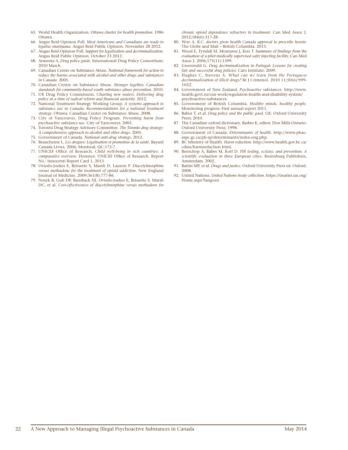- 65. World Health Organization. *Ottawa charter for health promotion.* 1986 Ottawa.
- 66. Angus Reid Opinion Poll. *Most Americans and Canadians are ready to legalize marijuana.* Angus Reid Public Opinion. November 28 2012.
- 67. Angus Reid Opinion Poll. *Support for legalization and decriminalization.* Angus Reid Public Opinion. October 23 2012.
- 68. Armenta A. *Drug policy guide.* International Drug Policy Consortium; 2010 March.
- 69. Canadian Centre on Substance Abuse. *National framework for action to reduce the harms associated with alcohol and other drugs and substances in Canada.* 2005.
- 70. Canadian Centre on Substance Abuse. *Stronger together, Canadian standards for community-based youth substance abuse prevention.* 2010.
- 71. UK Drug Policy Commission. *Charting new waters: Delivering drug policy at a time of radical reform and financial austerity.* 2012.
- 72. National Treatment Strategy Working Group. *A systems approach to substance use in Canada: Recommendations for a national treatment strategy.* Ottawa: Canadian Center on Substance Abuse. 2008.
- 73. City of Vancouver, Drug Policy Program. *Preventing harm from psychoactive substance use.* City of Vancouver, 2005.
- 74. Toronto Drug Strategy Advisory Committee. *The Toronto drug strategy: A comprehensive approach to alcohol and other drugs.* 2005.
- 75. Government of Canada. *National anti-drug strategy.* 2012.
- 76. Beauchesne L. *Les drogues: Légalisation et promotion de la santé.* Bayard Canada Livres. 2006; Montreal, QC:173-7.
- 77. UNICEF Office of Research. *Child well-being in rich countries: A comparative overview.* Florence: UNICEF Office of Research. Report No.: Innocenti Report Card 1, 2013.
- 78. Oviedo-Joekes E, Brissette S, Marsh D, Lauzon P. *Diacetylmorphine versus methadone for the treatment of opioid addiction.* New England Journal of Medicine. 2009;361(8):777-86.
- 79. Nosyk B, Guh DP, Bansback NJ, Oviedo-Joekes E, Brissette S, Marsh DC, et al. *Cost-effectiveness of diacetylmorphine versus methadone for*

*chronic opioid dependence refractory to treatment.* Can Med Assoc J. 2012;184(6):317-28.

- 80. Woo A. *B.C. doctors given health Canada approval to prescribe heroin.* The Globe and Mail – British Columbia. 2013.
- 81. Wood E, Tyndall M, Montaner J, Kerr T. *Summary of findings from the evaluation of a pilot medically supervised safer injecting facility.* Can Med Assoc J. 2006;175(11):1399.
- 82. Greenwald G. *Drug decriminalization in Portugal: Lessons for creating fair and successful drug policies*: Cato Institute; 2009.
- 83. Hughes C, Stevens A. *What can we learn from the Portuguese decriminalization of illicit drugs?* Br J Criminol. 2010 11;50(6):999- 1022.
- 84. Government of New Zealand. *Psychoactive substances.* http://www. health.govt.nz/our-work/regulation-health-and-disability-system/ psychoactive-substances.
- 85. Government of British Columbia. *Healthy minds, healthy people.* Monitoring progress: First annual report 2011.
- 86. Babor T, et al. *Drug policy and the public good.* UK: Oxford University Press; 2010.
- 87. The Canadian oxford dictionary. Barber K, editor. Don Mills Ontario: Oxford University Press; 1998.
- 88. Government of Canada. *Determinants of health.* http://www.phacaspc.gc.ca/ph-sp/determinants/index-eng.php.
- 89. BC Ministry of Health. *Harm reduction.* http://www.health.gov.bc.ca/ cdms/harmreduction.html.
- 90. Benschop A, Rabes M, Korf D. *Pill testing, ecstasy, and prevention: A scientific evaluation in three European cities.* Rozenburg Publishers, Amsterdam. 2002.
- 91. Battin MP, et al. *Drugs and justice.* Oxford University Press ed. Oxford. 2008.
- 92. United Nations. *United Nations treaty collection.* https://treaties.un.org/ Home.aspx?lang=en